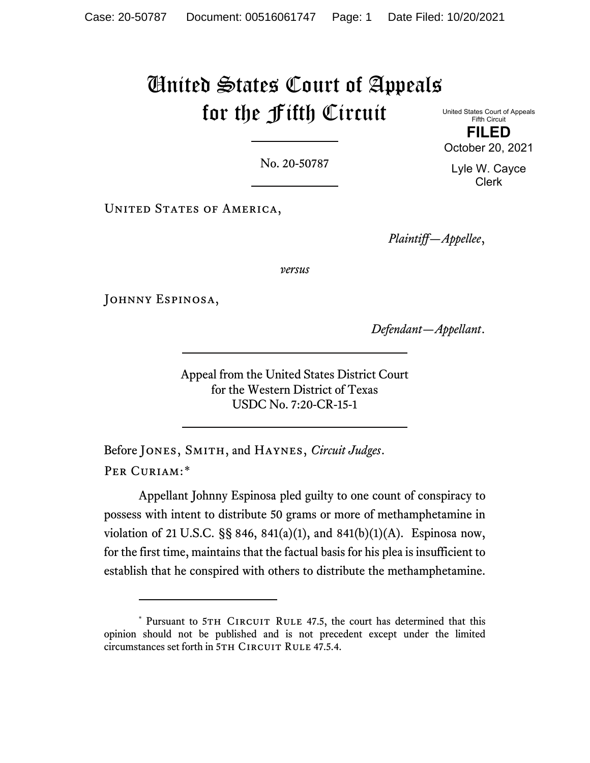# United States Court of Appeals for the Fifth Circuit

United States Court of Appeals Fifth Circuit **FILED** October 20, 2021

No. 20-50787

UNITED STATES OF AMERICA,

*Plaintiff—Appellee*,

*versus*

JOHNNY ESPINOSA,

*Defendant—Appellant*.

Appeal from the United States District Court for the Western District of Texas USDC No. 7:20-CR-15-1

Before Jones, Smith, and Haynes, *Circuit Judges*. PER CURIAM:[\\*](#page-0-0)

Appellant Johnny Espinosa pled guilty to one count of conspiracy to possess with intent to distribute 50 grams or more of methamphetamine in violation of 21 U.S.C. §§ 846, 841(a)(1), and 841(b)(1)(A). Espinosa now, for the first time, maintains that the factual basis for his plea is insufficient to establish that he conspired with others to distribute the methamphetamine.

Lyle W. Cayce Clerk

<span id="page-0-0"></span><sup>\*</sup> Pursuant to 5TH CIRCUIT RULE 47.5, the court has determined that this opinion should not be published and is not precedent except under the limited circumstances set forth in 5TH CIRCUIT RULE 47.5.4.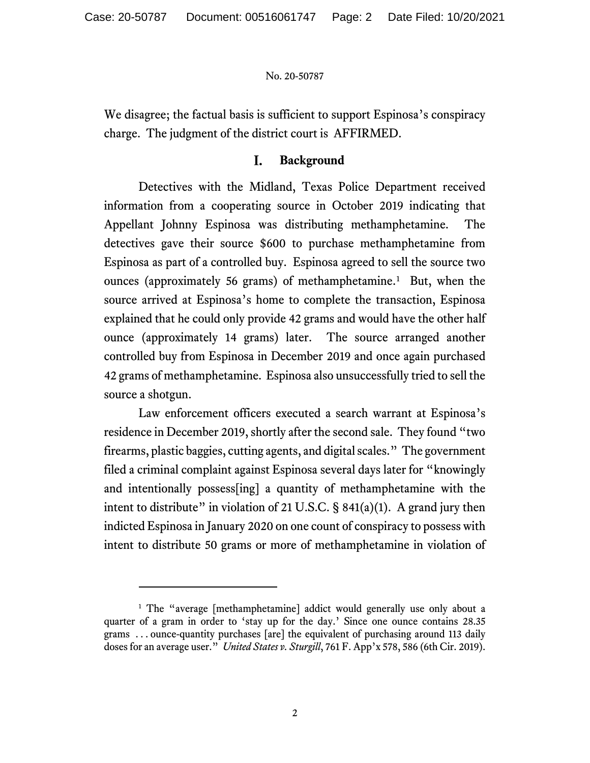We disagree; the factual basis is sufficient to support Espinosa's conspiracy charge. The judgment of the district court is AFFIRMED.

#### $\mathbf{I}$ . **Background**

Detectives with the Midland, Texas Police Department received information from a cooperating source in October 2019 indicating that Appellant Johnny Espinosa was distributing methamphetamine. The detectives gave their source \$600 to purchase methamphetamine from Espinosa as part of a controlled buy. Espinosa agreed to sell the source two ounces (approximately 56 grams) of methamphetamine.<sup>[1](#page-1-0)</sup> But, when the source arrived at Espinosa's home to complete the transaction, Espinosa explained that he could only provide 42 grams and would have the other half ounce (approximately 14 grams) later. The source arranged another controlled buy from Espinosa in December 2019 and once again purchased 42 grams of methamphetamine. Espinosa also unsuccessfully tried to sell the source a shotgun.

Law enforcement officers executed a search warrant at Espinosa's residence in December 2019, shortly after the second sale. They found "two firearms, plastic baggies, cutting agents, and digital scales." The government filed a criminal complaint against Espinosa several days later for "knowingly and intentionally possess[ing] a quantity of methamphetamine with the intent to distribute" in violation of 21 U.S.C.  $\S$  841(a)(1). A grand jury then indicted Espinosa in January 2020 on one count of conspiracy to possess with intent to distribute 50 grams or more of methamphetamine in violation of

<span id="page-1-0"></span><sup>&</sup>lt;sup>1</sup> The "average [methamphetamine] addict would generally use only about a quarter of a gram in order to 'stay up for the day.' Since one ounce contains 28.35 grams . . . ounce-quantity purchases [are] the equivalent of purchasing around 113 daily doses for an average user." *United States v. Sturgill*, 761 F. App'x 578, 586 (6th Cir. 2019).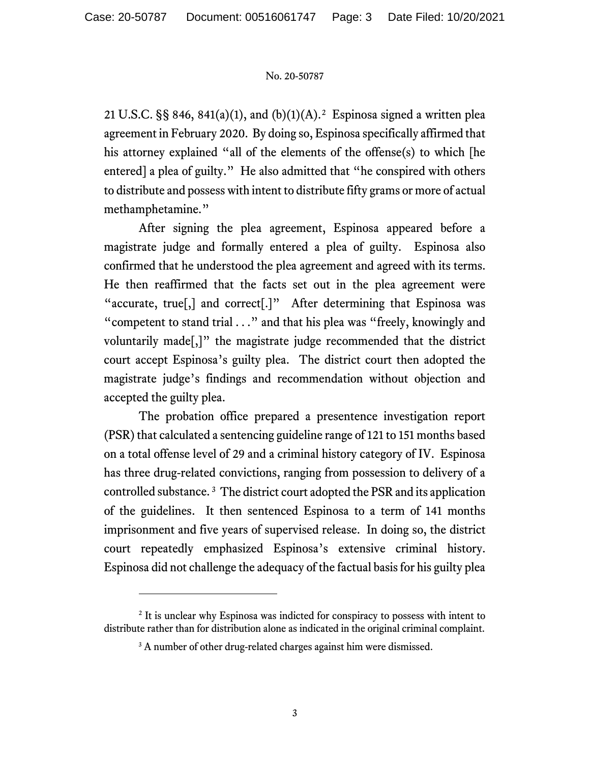[2](#page-2-0)1 U.S.C. §§ 846, 841(a)(1), and (b)(1)(A).<sup>2</sup> Espinosa signed a written plea agreement in February 2020. By doing so, Espinosa specifically affirmed that his attorney explained "all of the elements of the offense(s) to which [he entered] a plea of guilty." He also admitted that "he conspired with others to distribute and possess with intent to distribute fifty grams or more of actual methamphetamine."

After signing the plea agreement, Espinosa appeared before a magistrate judge and formally entered a plea of guilty. Espinosa also confirmed that he understood the plea agreement and agreed with its terms. He then reaffirmed that the facts set out in the plea agreement were "accurate, true[,] and correct[.]"After determining that Espinosa was "competent to stand trial . . ." and that his plea was "freely, knowingly and voluntarily made[,]" the magistrate judge recommended that the district court accept Espinosa's guilty plea. The district court then adopted the magistrate judge's findings and recommendation without objection and accepted the guilty plea.

The probation office prepared a presentence investigation report (PSR) that calculated a sentencing guideline range of 121 to 151 months based on a total offense level of 29 and a criminal history category of IV. Espinosa has three drug-related convictions, ranging from possession to delivery of a controlled substance. [3](#page-2-1) The district court adopted the PSR and its application of the guidelines. It then sentenced Espinosa to a term of 141 months imprisonment and five years of supervised release. In doing so, the district court repeatedly emphasized Espinosa's extensive criminal history. Espinosa did not challenge the adequacy of the factual basis for his guilty plea

<span id="page-2-1"></span><span id="page-2-0"></span><sup>&</sup>lt;sup>2</sup> It is unclear why Espinosa was indicted for conspiracy to possess with intent to distribute rather than for distribution alone as indicated in the original criminal complaint.

<sup>&</sup>lt;sup>3</sup> A number of other drug-related charges against him were dismissed.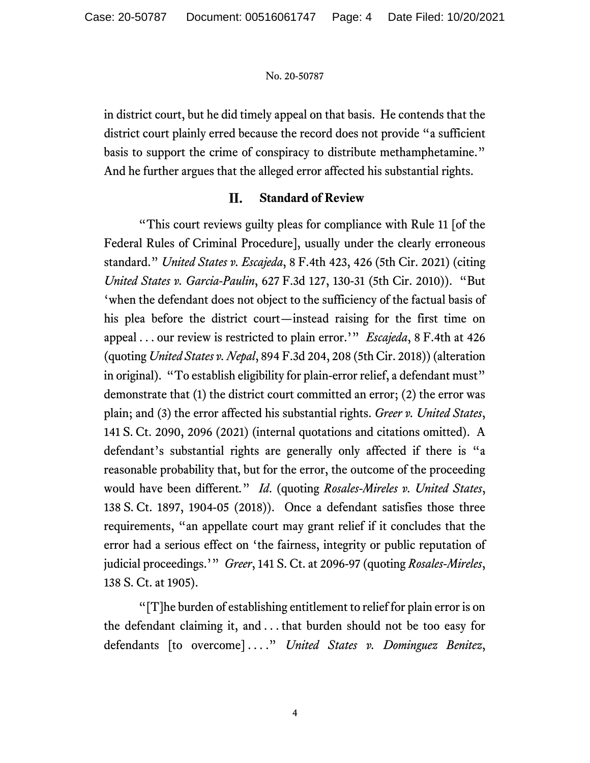in district court, but he did timely appeal on that basis. He contends that the district court plainly erred because the record does not provide "a sufficient basis to support the crime of conspiracy to distribute methamphetamine." And he further argues that the alleged error affected his substantial rights.

#### II. **Standard of Review**

"This court reviews guilty pleas for compliance with Rule 11 [of the Federal Rules of Criminal Procedure], usually under the clearly erroneous standard." *United States v. Escajeda*, 8 F.4th 423, 426 (5th Cir. 2021) (citing *United States v. Garcia-Paulin*, 627 F.3d 127, 130-31 (5th Cir. 2010)). "But 'when the defendant does not object to the sufficiency of the factual basis of his plea before the district court—instead raising for the first time on appeal . . . our review is restricted to plain error.'" *Escajeda*, 8 F.4th at 426 (quoting *United States v. Nepal*, 894 F.3d 204, 208 (5th Cir. 2018)) (alteration in original). "To establish eligibility for plain-error relief, a defendant must" demonstrate that (1) the district court committed an error; (2) the error was plain; and (3) the error affected his substantial rights. *Greer v. United States*, 141 S. Ct. 2090, 2096 (2021) (internal quotations and citations omitted). A defendant's substantial rights are generally only affected if there is "a reasonable probability that, but for the error, the outcome of the proceeding would have been different*.*" *Id*. (quoting *Rosales-Mireles v. United States*, 138 S. Ct. 1897, 1904-05 (2018)). Once a defendant satisfies those three requirements, "an appellate court may grant relief if it concludes that the error had a serious effect on 'the fairness, integrity or public reputation of judicial proceedings.'" *Greer*, 141 S. Ct. at 2096-97 (quoting *Rosales-Mireles*, 138 S. Ct. at 1905).

"[T]he burden of establishing entitlement to relief for plain error is on the defendant claiming it, and . . . that burden should not be too easy for defendants [to overcome] . . . ." *United States v. Dominguez Benitez*,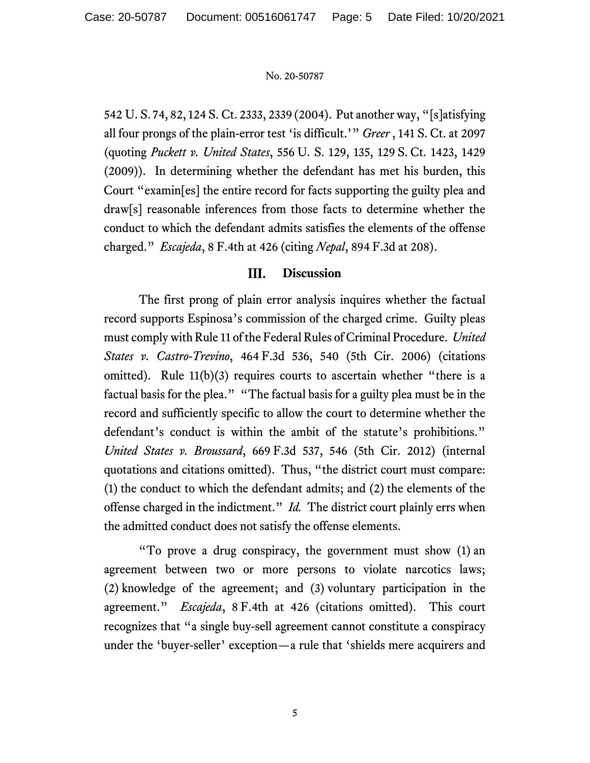542 U. S. 74, 82, 124 S. Ct. 2333, 2339 (2004). Put another way, "[s]atisfying all four prongs of the plain-error test 'is difficult.'" *Greer* , 141 S. Ct. at 2097 (quoting *Puckett v. United States*, 556 U. S. 129, 135, 129 S. Ct. 1423, 1429 (2009)). In determining whether the defendant has met his burden, this Court "examin[es] the entire record for facts supporting the guilty plea and draw[s] reasonable inferences from those facts to determine whether the conduct to which the defendant admits satisfies the elements of the offense charged." *Escajeda*, 8 F.4th at 426 (citing *Nepal*, 894 F.3d at 208).

#### III. **Discussion**

The first prong of plain error analysis inquires whether the factual record supports Espinosa's commission of the charged crime. Guilty pleas must comply with Rule 11 of the Federal Rules of Criminal Procedure. *United States v. Castro-Trevino*, 464 F.3d 536, 540 (5th Cir. 2006) (citations omitted). Rule  $11(b)(3)$  requires courts to ascertain whether "there is a factual basis for the plea." "The factual basis for a guilty plea must be in the record and sufficiently specific to allow the court to determine whether the defendant's conduct is within the ambit of the statute's prohibitions." *United States v. Broussard*, 669 F.3d 537, 546 (5th Cir. 2012) (internal quotations and citations omitted). Thus, "the district court must compare: (1) the conduct to which the defendant admits; and (2) the elements of the offense charged in the indictment." *Id.* The district court plainly errs when the admitted conduct does not satisfy the offense elements.

"To prove a drug conspiracy, the government must show (1) an agreement between two or more persons to violate narcotics laws; (2) knowledge of the agreement; and (3) voluntary participation in the agreement." *Escajeda*, 8 F.4th at 426 (citations omitted). This court recognizes that "a single buy-sell agreement cannot constitute a conspiracy under the 'buyer-seller' exception—a rule that 'shields mere acquirers and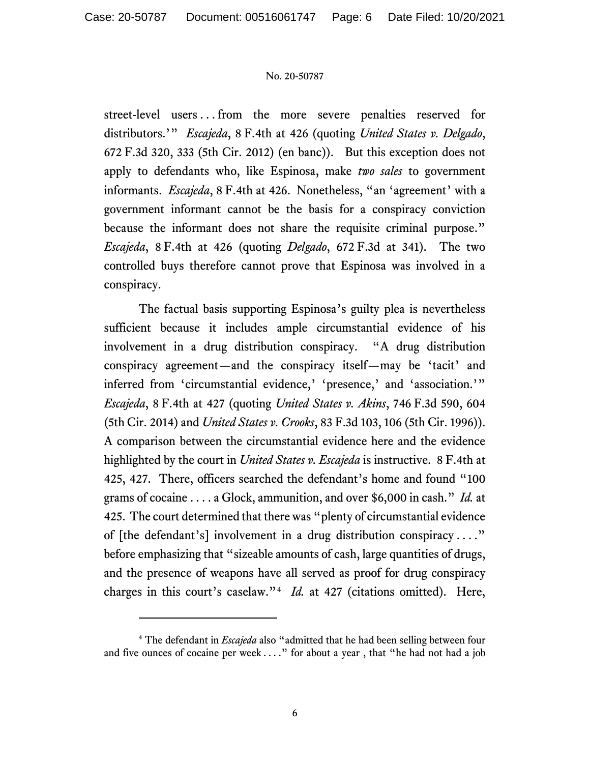street-level users . . . from the more severe penalties reserved for distributors.'" *Escajeda*, 8 F.4th at 426 (quoting *United States v. Delgado*, 672 F.3d 320, 333 (5th Cir. 2012) (en banc)). But this exception does not apply to defendants who, like Espinosa, make *two sales* to government informants. *Escajeda*, 8 F.4th at 426. Nonetheless, "an 'agreement' with a government informant cannot be the basis for a conspiracy conviction because the informant does not share the requisite criminal purpose." *Escajeda*, 8 F.4th at 426 (quoting *Delgado*, 672 F.3d at 341). The two controlled buys therefore cannot prove that Espinosa was involved in a conspiracy.

The factual basis supporting Espinosa's guilty plea is nevertheless sufficient because it includes ample circumstantial evidence of his involvement in a drug distribution conspiracy. "A drug distribution conspiracy agreement—and the conspiracy itself—may be 'tacit' and inferred from 'circumstantial evidence,' 'presence,' and 'association.'" *Escajeda*, 8 F.4th at 427 (quoting *United States v. Akins*, 746 F.3d 590, 604 (5th Cir. 2014) and *United States v. Crooks*, 83 F.3d 103, 106 (5th Cir. 1996)). A comparison between the circumstantial evidence here and the evidence highlighted by the court in *United States v. Escajeda* is instructive. 8 F.4th at 425, 427. There, officers searched the defendant's home and found "100 grams of cocaine . . . . a Glock, ammunition, and over \$6,000 in cash." *Id.* at 425. The court determined that there was "plenty of circumstantial evidence of [the defendant's] involvement in a drug distribution conspiracy . . . ." before emphasizing that "sizeable amounts of cash, large quantities of drugs, and the presence of weapons have all served as proof for drug conspiracy charges in this court's caselaw."[4](#page-5-0) *Id.* at 427 (citations omitted). Here,

<span id="page-5-0"></span><sup>4</sup> The defendant in *Escajeda* also "admitted that he had been selling between four and five ounces of cocaine per week  $\dots$ ." for about a year, that "he had not had a job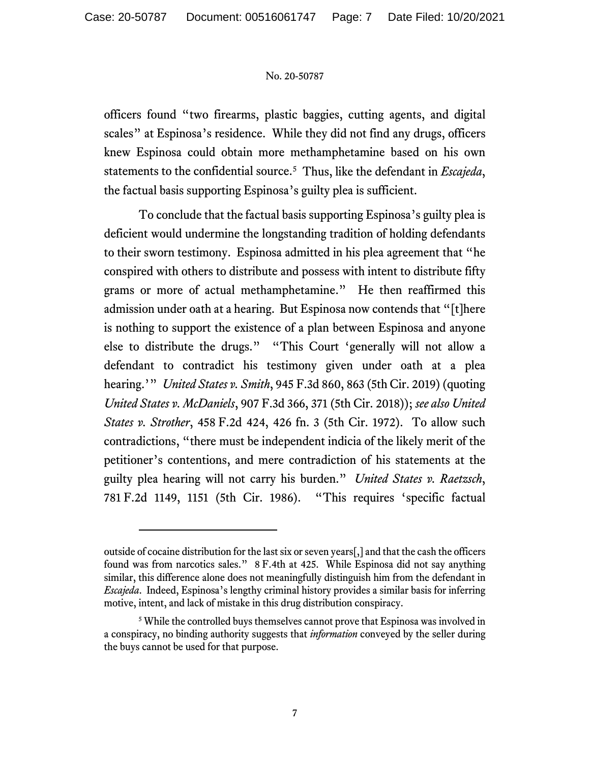officers found "two firearms, plastic baggies, cutting agents, and digital scales" at Espinosa's residence. While they did not find any drugs, officers knew Espinosa could obtain more methamphetamine based on his own statements to the confidential source. [5](#page-6-0) Thus, like the defendant in *Escajeda*, the factual basis supporting Espinosa's guilty plea is sufficient.

To conclude that the factual basis supporting Espinosa's guilty plea is deficient would undermine the longstanding tradition of holding defendants to their sworn testimony. Espinosa admitted in his plea agreement that "he conspired with others to distribute and possess with intent to distribute fifty grams or more of actual methamphetamine." He then reaffirmed this admission under oath at a hearing. But Espinosa now contends that "[t]here is nothing to support the existence of a plan between Espinosa and anyone else to distribute the drugs." "This Court 'generally will not allow a defendant to contradict his testimony given under oath at a plea hearing.'" *United States v. Smith*, 945 F.3d 860, 863 (5th Cir. 2019) (quoting *United States v. McDaniels*, 907 F.3d 366, 371 (5th Cir. 2018)); *see also United States v. Strother*, 458 F.2d 424, 426 fn. 3 (5th Cir. 1972). To allow such contradictions, "there must be independent indicia of the likely merit of the petitioner's contentions, and mere contradiction of his statements at the guilty plea hearing will not carry his burden." *United States v. Raetzsch*, 781 F.2d 1149, 1151 (5th Cir. 1986). "This requires 'specific factual

outside of cocaine distribution for the last six or seven years[,] and that the cash the officers found was from narcotics sales." 8 F.4th at 425. While Espinosa did not say anything similar, this difference alone does not meaningfully distinguish him from the defendant in *Escajeda*. Indeed, Espinosa's lengthy criminal history provides a similar basis for inferring motive, intent, and lack of mistake in this drug distribution conspiracy.

<span id="page-6-0"></span><sup>&</sup>lt;sup>5</sup> While the controlled buys themselves cannot prove that Espinosa was involved in a conspiracy, no binding authority suggests that *information* conveyed by the seller during the buys cannot be used for that purpose.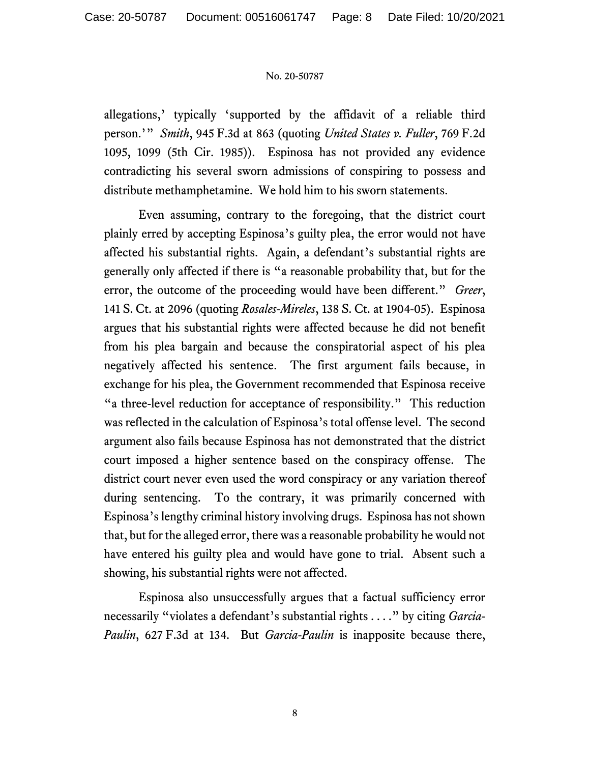allegations,' typically 'supported by the affidavit of a reliable third person.'" *Smith*, 945 F.3d at 863 (quoting *United States v. Fuller*, 769 F.2d 1095, 1099 (5th Cir. 1985)). Espinosa has not provided any evidence contradicting his several sworn admissions of conspiring to possess and distribute methamphetamine. We hold him to his sworn statements.

Even assuming, contrary to the foregoing, that the district court plainly erred by accepting Espinosa's guilty plea, the error would not have affected his substantial rights. Again, a defendant's substantial rights are generally only affected if there is "a reasonable probability that, but for the error, the outcome of the proceeding would have been different." *Greer*, 141 S. Ct. at 2096 (quoting *Rosales-Mireles*, 138 S. Ct. at 1904-05). Espinosa argues that his substantial rights were affected because he did not benefit from his plea bargain and because the conspiratorial aspect of his plea negatively affected his sentence. The first argument fails because, in exchange for his plea, the Government recommended that Espinosa receive "a three-level reduction for acceptance of responsibility." This reduction was reflected in the calculation of Espinosa's total offense level. The second argument also fails because Espinosa has not demonstrated that the district court imposed a higher sentence based on the conspiracy offense. The district court never even used the word conspiracy or any variation thereof during sentencing. To the contrary, it was primarily concerned with Espinosa's lengthy criminal history involving drugs. Espinosa has not shown that, but for the alleged error, there was a reasonable probability he would not have entered his guilty plea and would have gone to trial. Absent such a showing, his substantial rights were not affected.

Espinosa also unsuccessfully argues that a factual sufficiency error necessarily "violates a defendant's substantial rights . . . ." by citing *Garcia-Paulin*, 627 F.3d at 134. But *Garcia-Paulin* is inapposite because there,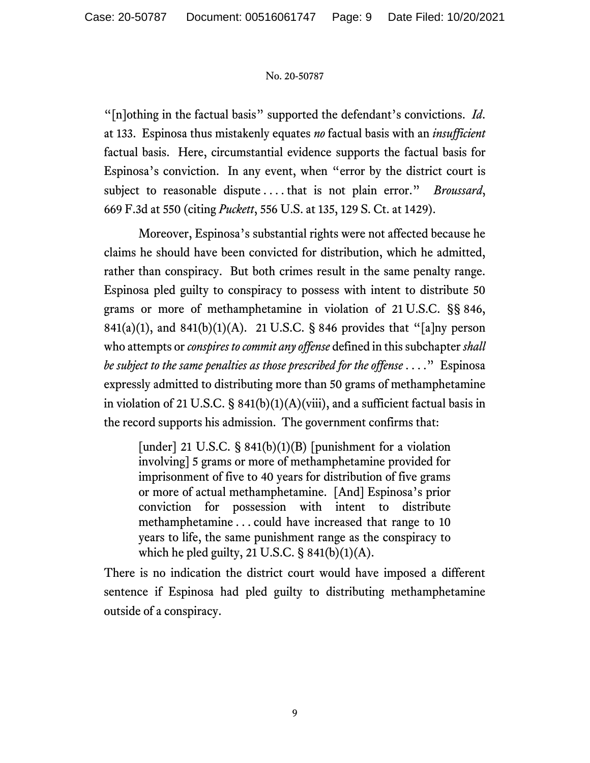"[n]othing in the factual basis" supported the defendant's convictions. *Id*. at 133. Espinosa thus mistakenly equates *no* factual basis with an *insufficient* factual basis. Here, circumstantial evidence supports the factual basis for Espinosa's conviction. In any event, when "error by the district court is subject to reasonable dispute . . . . that is not plain error." *Broussard*, 669 F.3d at 550 (citing *Puckett*, 556 U.S. at 135, 129 S. Ct. at 1429).

Moreover, Espinosa's substantial rights were not affected because he claims he should have been convicted for distribution, which he admitted, rather than conspiracy. But both crimes result in the same penalty range. Espinosa pled guilty to conspiracy to possess with intent to distribute 50 grams or more of methamphetamine in violation of 21 U.S.C. §§ 846, 841(a)(1), and 841(b)(1)(A). 21 U.S.C. § 846 provides that "[a]ny person who attempts or *conspires to commit any offense* defined in this subchapter *shall be subject to the same penalties as those prescribed for the offense* . . . ." Espinosa expressly admitted to distributing more than 50 grams of methamphetamine in violation of 21 U.S.C. §  $841(b)(1)(A)(viii)$ , and a sufficient factual basis in the record supports his admission. The government confirms that:

[under] 21 U.S.C.  $\S$  841(b)(1)(B) [punishment for a violation involving] 5 grams or more of methamphetamine provided for imprisonment of five to 40 years for distribution of five grams or more of actual methamphetamine. [And] Espinosa's prior conviction for possession with intent to distribute methamphetamine . . . could have increased that range to 10 years to life, the same punishment range as the conspiracy to which he pled guilty, 21 U.S.C.  $\S$  841(b)(1)(A).

There is no indication the district court would have imposed a different sentence if Espinosa had pled guilty to distributing methamphetamine outside of a conspiracy.